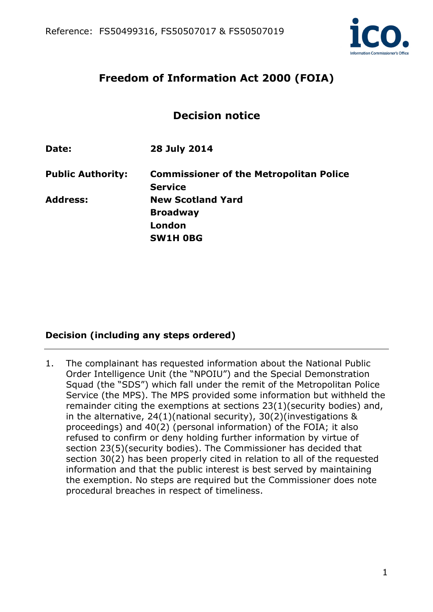

# **Freedom of Information Act 2000 (FOIA)**

# **Decision notice**

**Date: 28 July 2014** 

**Public Authority: Commissioner of the Metropolitan Police Service Address: New Scotland Yard Broadway London SW1H 0BG** 

# **Decision (including any steps ordered)**

1. The complainant has requested information about the National Public Order Intelligence Unit (the "NPOIU") and the Special Demonstration Squad (the "SDS") which fall under the remit of the Metropolitan Police Service (the MPS). The MPS provided some information but withheld the remainder citing the exemptions at sections 23(1)(security bodies) and, in the alternative, 24(1)(national security), 30(2)(investigations & proceedings) and 40(2) (personal information) of the FOIA; it also refused to confirm or deny holding further information by virtue of section 23(5)(security bodies). The Commissioner has decided that section 30(2) has been properly cited in relation to all of the requested information and that the public interest is best served by maintaining the exemption. No steps are required but the Commissioner does note procedural breaches in respect of timeliness.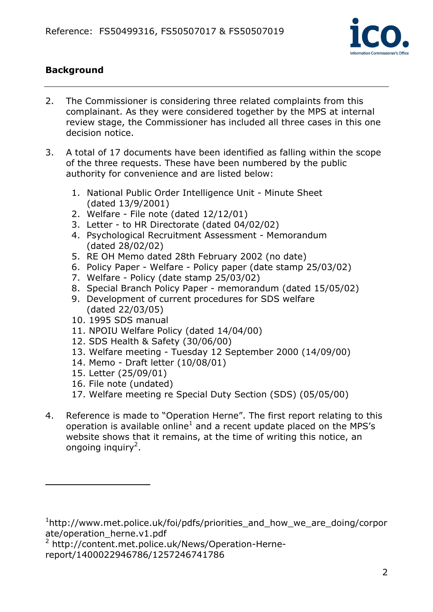

# **Background**

- 2. The Commissioner is considering three related complaints from this complainant. As they were considered together by the MPS at internal review stage, the Commissioner has included all three cases in this one decision notice.
- 3. A total of 17 documents have been identified as falling within the scope of the three requests. These have been numbered by the public authority for convenience and are listed below:
	- 1. National Public Order Intelligence Unit Minute Sheet (dated 13/9/2001)
	- 2. Welfare File note (dated 12/12/01)
	- 3. Letter to HR Directorate (dated 04/02/02)
	- 4. Psychological Recruitment Assessment Memorandum (dated 28/02/02)
	- 5. RE OH Memo dated 28th February 2002 (no date)
	- 6. Policy Paper Welfare Policy paper (date stamp 25/03/02)
	- 7. Welfare Policy (date stamp 25/03/02)
	- 8. Special Branch Policy Paper memorandum (dated 15/05/02)
	- 9. Development of current procedures for SDS welfare (dated 22/03/05)
	- 10. 1995 SDS manual
	- 11. NPOIU Welfare Policy (dated 14/04/00)
	- 12. SDS Health & Safety (30/06/00)
	- 13. Welfare meeting Tuesday 12 September 2000 (14/09/00)
	- 14. Memo Draft letter (10/08/01)
	- 15. Letter (25/09/01)

 $\overline{a}$ 

- 16. File note (undated)
- 17. Welfare meeting re Special Duty Section (SDS) (05/05/00)
- 4. Reference is made to "Operation Herne". The first report relating to this operation is available online<sup>1</sup> and a recent update placed on the MPS's website shows that it remains, at the time of writing this notice, an ongoing inquiry<sup>2</sup>.

<sup>2</sup> http://content.met.police.uk/News/Operation-Hernereport/1400022946786/1257246741786

<sup>1</sup> http://www.met.police.uk/foi/pdfs/priorities\_and\_how\_we\_are\_doing/corpor ate/operation\_herne.v1.pdf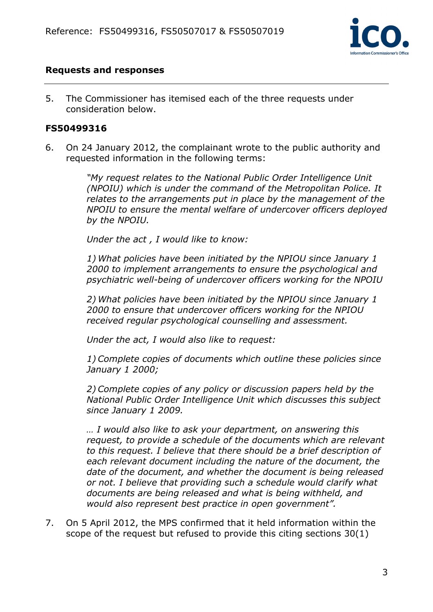

#### **Requests and responses**

5. The Commissioner has itemised each of the three requests under consideration below.

#### **FS50499316**

6. On 24 January 2012, the complainant wrote to the public authority and requested information in the following terms:

> *"My request relates to the National Public Order Intelligence Unit (NPOIU) which is under the command of the Metropolitan Police. It relates to the arrangements put in place by the management of the NPOIU to ensure the mental welfare of undercover officers deployed by the NPOIU.*

*Under the act , I would like to know:* 

*1) What policies have been initiated by the NPIOU since January 1 2000 to implement arrangements to ensure the psychological and psychiatric well-being of undercover officers working for the NPOIU* 

*2) What policies have been initiated by the NPIOU since January 1 2000 to ensure that undercover officers working for the NPIOU received regular psychological counselling and assessment.* 

*Under the act, I would also like to request:* 

*1) Complete copies of documents which outline these policies since January 1 2000;* 

*2) Complete copies of any policy or discussion papers held by the National Public Order Intelligence Unit which discusses this subject since January 1 2009.* 

*… I would also like to ask your department, on answering this request, to provide a schedule of the documents which are relevant to this request. I believe that there should be a brief description of each relevant document including the nature of the document, the date of the document, and whether the document is being released or not. I believe that providing such a schedule would clarify what documents are being released and what is being withheld, and would also represent best practice in open government".* 

7. On 5 April 2012, the MPS confirmed that it held information within the scope of the request but refused to provide this citing sections 30(1)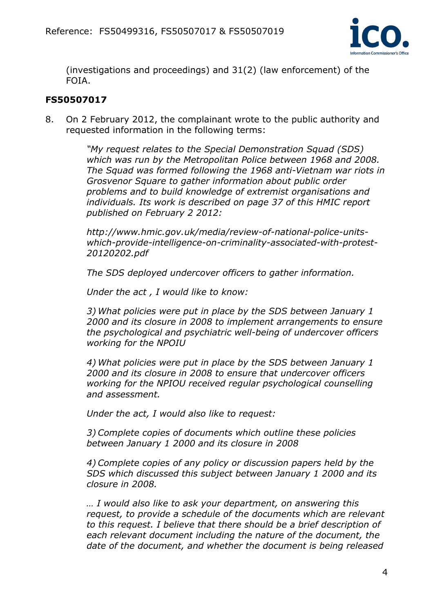

(investigations and proceedings) and 31(2) (law enforcement) of the FOIA.

## **FS50507017**

8. On 2 February 2012, the complainant wrote to the public authority and requested information in the following terms:

> *"My request relates to the Special Demonstration Squad (SDS) which was run by the Metropolitan Police between 1968 and 2008. The Squad was formed following the 1968 anti-Vietnam war riots in Grosvenor Square to gather information about public order problems and to build knowledge of extremist organisations and individuals. Its work is described on page 37 of this HMIC report published on February 2 2012:*

*http://www.hmic.gov.uk/media/review-of-national-police-unitswhich-provide-intelligence-on-criminality-associated-with-protest-20120202.pdf* 

*The SDS deployed undercover officers to gather information.* 

*Under the act , I would like to know:* 

*3) What policies were put in place by the SDS between January 1 2000 and its closure in 2008 to implement arrangements to ensure the psychological and psychiatric well-being of undercover officers working for the NPOIU* 

*4) What policies were put in place by the SDS between January 1 2000 and its closure in 2008 to ensure that undercover officers working for the NPIOU received regular psychological counselling and assessment.* 

*Under the act, I would also like to request:* 

*3) Complete copies of documents which outline these policies between January 1 2000 and its closure in 2008* 

*4) Complete copies of any policy or discussion papers held by the SDS which discussed this subject between January 1 2000 and its closure in 2008.* 

*… I would also like to ask your department, on answering this request, to provide a schedule of the documents which are relevant to this request. I believe that there should be a brief description of each relevant document including the nature of the document, the date of the document, and whether the document is being released*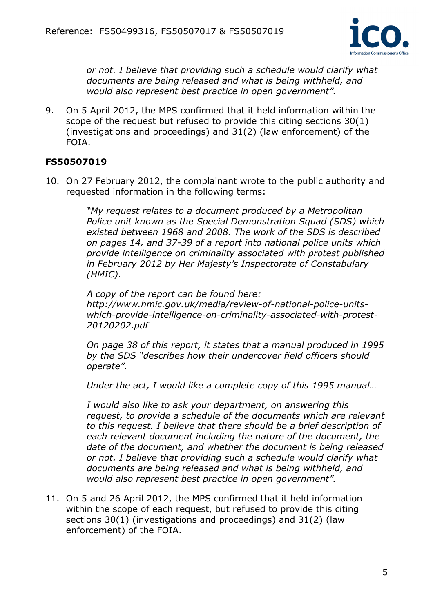

*or not. I believe that providing such a schedule would clarify what documents are being released and what is being withheld, and would also represent best practice in open government".* 

9. On 5 April 2012, the MPS confirmed that it held information within the scope of the request but refused to provide this citing sections 30(1) (investigations and proceedings) and 31(2) (law enforcement) of the FOIA.

## **FS50507019**

10. On 27 February 2012, the complainant wrote to the public authority and requested information in the following terms:

> *"My request relates to a document produced by a Metropolitan Police unit known as the Special Demonstration Squad (SDS) which existed between 1968 and 2008. The work of the SDS is described on pages 14, and 37-39 of a report into national police units which provide intelligence on criminality associated with protest published in February 2012 by Her Majesty's Inspectorate of Constabulary (HMIC).*

*A copy of the report can be found here: http://www.hmic.gov.uk/media/review-of-national-police-unitswhich-provide-intelligence-on-criminality-associated-with-protest-20120202.pdf* 

*On page 38 of this report, it states that a manual produced in 1995 by the SDS "describes how their undercover field officers should operate".* 

*Under the act, I would like a complete copy of this 1995 manual…* 

*I would also like to ask your department, on answering this request, to provide a schedule of the documents which are relevant to this request. I believe that there should be a brief description of each relevant document including the nature of the document, the date of the document, and whether the document is being released or not. I believe that providing such a schedule would clarify what documents are being released and what is being withheld, and would also represent best practice in open government".*

11. On 5 and 26 April 2012, the MPS confirmed that it held information within the scope of each request, but refused to provide this citing sections 30(1) (investigations and proceedings) and 31(2) (law enforcement) of the FOIA.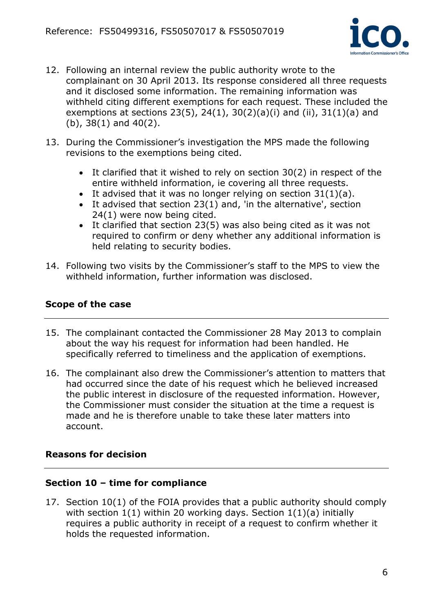

- 12. Following an internal review the public authority wrote to the complainant on 30 April 2013. Its response considered all three requests and it disclosed some information. The remaining information was withheld citing different exemptions for each request. These included the exemptions at sections 23(5), 24(1), 30(2)(a)(i) and (ii), 31(1)(a) and (b), 38(1) and 40(2).
- 13. During the Commissioner's investigation the MPS made the following revisions to the exemptions being cited.
	- It clarified that it wished to rely on section 30(2) in respect of the entire withheld information, ie covering all three requests.
	- It advised that it was no longer relying on section  $31(1)(a)$ .
	- It advised that section 23(1) and, 'in the alternative', section 24(1) were now being cited.
	- It clarified that section 23(5) was also being cited as it was not required to confirm or deny whether any additional information is held relating to security bodies.
- 14. Following two visits by the Commissioner's staff to the MPS to view the withheld information, further information was disclosed.

## **Scope of the case**

- 15. The complainant contacted the Commissioner 28 May 2013 to complain about the way his request for information had been handled. He specifically referred to timeliness and the application of exemptions.
- 16. The complainant also drew the Commissioner's attention to matters that had occurred since the date of his request which he believed increased the public interest in disclosure of the requested information. However, the Commissioner must consider the situation at the time a request is made and he is therefore unable to take these later matters into account.

### **Reasons for decision**

### **Section 10 – time for compliance**

17. Section 10(1) of the FOIA provides that a public authority should comply with section  $1(1)$  within 20 working days. Section  $1(1)(a)$  initially requires a public authority in receipt of a request to confirm whether it holds the requested information.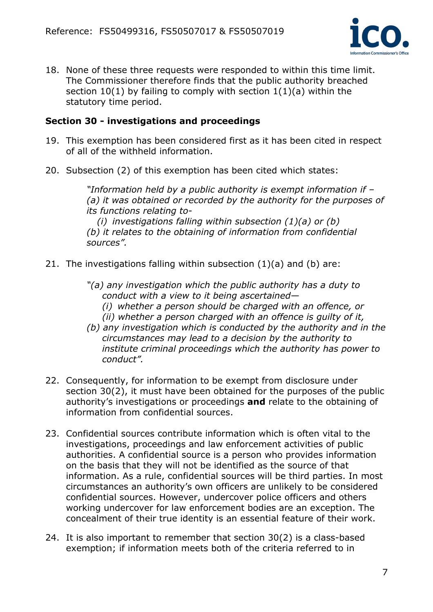

18. None of these three requests were responded to within this time limit. The Commissioner therefore finds that the public authority breached section  $10(1)$  by failing to comply with section  $1(1)(a)$  within the statutory time period.

### **Section 30 - investigations and proceedings**

- 19. This exemption has been considered first as it has been cited in respect of all of the withheld information.
- 20. Subsection (2) of this exemption has been cited which states:

*"Information held by a public authority is exempt information if – (a) it was obtained or recorded by the authority for the purposes of its functions relating to-* 

*(i) investigations falling within subsection (1)(a) or (b) (b) it relates to the obtaining of information from confidential sources".* 

21. The investigations falling within subsection  $(1)(a)$  and  $(b)$  are:

*"(a) any investigation which the public authority has a duty to conduct with a view to it being ascertained—* 

- *(i) whether a person should be charged with an offence, or*
- *(ii) whether a person charged with an offence is guilty of it,*
- *(b) any investigation which is conducted by the authority and in the circumstances may lead to a decision by the authority to institute criminal proceedings which the authority has power to conduct".*
- 22. Consequently, for information to be exempt from disclosure under section 30(2), it must have been obtained for the purposes of the public authority's investigations or proceedings **and** relate to the obtaining of information from confidential sources.
- 23. Confidential sources contribute information which is often vital to the investigations, proceedings and law enforcement activities of public authorities. A confidential source is a person who provides information on the basis that they will not be identified as the source of that information. As a rule, confidential sources will be third parties. In most circumstances an authority's own officers are unlikely to be considered confidential sources. However, undercover police officers and others working undercover for law enforcement bodies are an exception. The concealment of their true identity is an essential feature of their work.
- 24. It is also important to remember that section 30(2) is a class-based exemption; if information meets both of the criteria referred to in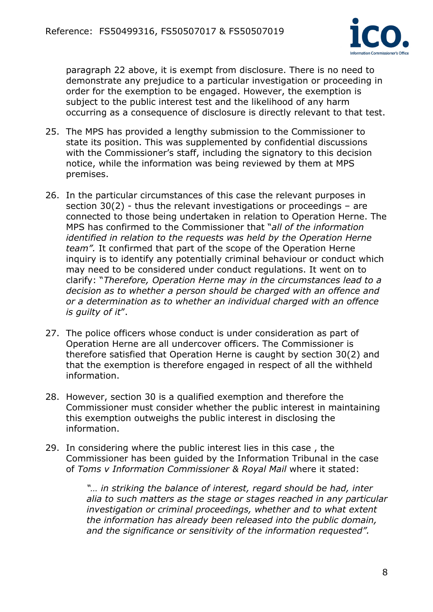

paragraph 22 above, it is exempt from disclosure. There is no need to demonstrate any prejudice to a particular investigation or proceeding in order for the exemption to be engaged. However, the exemption is subject to the public interest test and the likelihood of any harm occurring as a consequence of disclosure is directly relevant to that test.

- 25. The MPS has provided a lengthy submission to the Commissioner to state its position. This was supplemented by confidential discussions with the Commissioner's staff, including the signatory to this decision notice, while the information was being reviewed by them at MPS premises.
- 26. In the particular circumstances of this case the relevant purposes in section 30(2) - thus the relevant investigations or proceedings – are connected to those being undertaken in relation to Operation Herne. The MPS has confirmed to the Commissioner that "*all of the information identified in relation to the requests was held by the Operation Herne team".* It confirmed that part of the scope of the Operation Herne inquiry is to identify any potentially criminal behaviour or conduct which may need to be considered under conduct regulations. It went on to clarify: "*Therefore, Operation Herne may in the circumstances lead to a decision as to whether a person should be charged with an offence and or a determination as to whether an individual charged with an offence is guilty of it*".
- 27. The police officers whose conduct is under consideration as part of Operation Herne are all undercover officers. The Commissioner is therefore satisfied that Operation Herne is caught by section 30(2) and that the exemption is therefore engaged in respect of all the withheld information.
- 28. However, section 30 is a qualified exemption and therefore the Commissioner must consider whether the public interest in maintaining this exemption outweighs the public interest in disclosing the information.
- 29. In considering where the public interest lies in this case , the Commissioner has been guided by the Information Tribunal in the case of *Toms v Information Commissioner & Royal Mail* where it stated:

*"… in striking the balance of interest, regard should be had, inter alia to such matters as the stage or stages reached in any particular*  investigation or criminal proceedings, whether and to what extent *the information has already been released into the public domain, and the significance or sensitivity of the information requested".*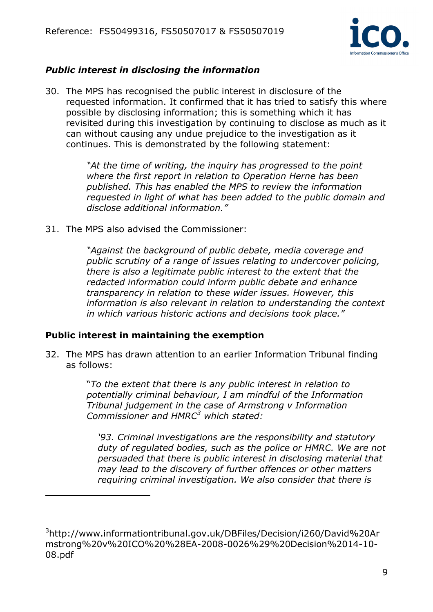

# *Public interest in disclosing the information*

30. The MPS has recognised the public interest in disclosure of the requested information. It confirmed that it has tried to satisfy this where possible by disclosing information; this is something which it has revisited during this investigation by continuing to disclose as much as it can without causing any undue prejudice to the investigation as it continues. This is demonstrated by the following statement:

> *"At the time of writing, the inquiry has progressed to the point where the first report in relation to Operation Herne has been published. This has enabled the MPS to review the information requested in light of what has been added to the public domain and disclose additional information."*

31. The MPS also advised the Commissioner:

*"Against the background of public debate, media coverage and public scrutiny of a range of issues relating to undercover policing, there is also a legitimate public interest to the extent that the redacted information could inform public debate and enhance transparency in relation to these wider issues. However, this information is also relevant in relation to understanding the context in which various historic actions and decisions took place."* 

# **Public interest in maintaining the exemption**

 $\overline{a}$ 

32. The MPS has drawn attention to an earlier Information Tribunal finding as follows:

> "*To the extent that there is any public interest in relation to potentially criminal behaviour, I am mindful of the Information Tribunal judgement in the case of Armstrong v Information Commissioner and HMRC<sup>3</sup> which stated:*

*'93. Criminal investigations are the responsibility and statutory duty of regulated bodies, such as the police or HMRC. We are not persuaded that there is public interest in disclosing material that may lead to the discovery of further offences or other matters requiring criminal investigation. We also consider that there is* 

<sup>3</sup> http://www.informationtribunal.gov.uk/DBFiles/Decision/i260/David%20Ar mstrong%20v%20ICO%20%28EA-2008-0026%29%20Decision%2014-10- 08.pdf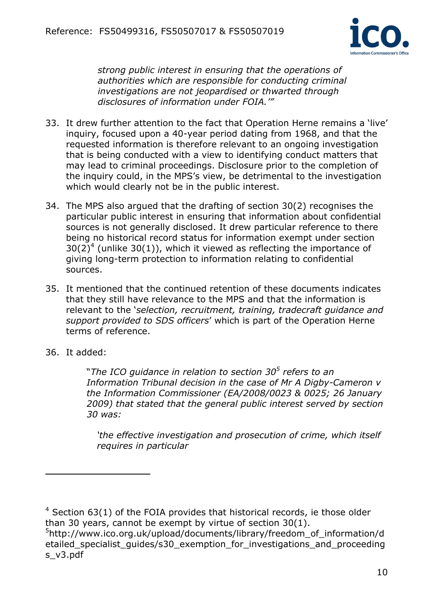

*strong public interest in ensuring that the operations of authorities which are responsible for conducting criminal investigations are not jeopardised or thwarted through disclosures of information under FOIA.'"* 

- 33. It drew further attention to the fact that Operation Herne remains a 'live' inquiry, focused upon a 40-year period dating from 1968, and that the requested information is therefore relevant to an ongoing investigation that is being conducted with a view to identifying conduct matters that may lead to criminal proceedings. Disclosure prior to the completion of the inquiry could, in the MPS's view, be detrimental to the investigation which would clearly not be in the public interest.
- 34. The MPS also argued that the drafting of section 30(2) recognises the particular public interest in ensuring that information about confidential sources is not generally disclosed. It drew particular reference to there being no historical record status for information exempt under section  $30(2)^4$  (unlike 30(1)), which it viewed as reflecting the importance of giving long-term protection to information relating to confidential sources.
- 35. It mentioned that the continued retention of these documents indicates that they still have relevance to the MPS and that the information is relevant to the '*selection, recruitment, training, tradecraft guidance and support provided to SDS officers*' which is part of the Operation Herne terms of reference.
- 36. It added:

 $\overline{a}$ 

"*The ICO guidance in relation to section 30<sup>5</sup> refers to an Information Tribunal decision in the case of Mr A Digby-Cameron v the Information Commissioner (EA/2008/0023 & 0025; 26 January 2009) that stated that the general public interest served by section 30 was:*

*'the effective investigation and prosecution of crime, which itself requires in particular* 

 $4$  Section 63(1) of the FOIA provides that historical records, ie those older than 30 years, cannot be exempt by virtue of section 30(1).

<sup>5</sup> http://www.ico.org.uk/upload/documents/library/freedom\_of\_information/d etailed specialist quides/s30 exemption for investigations and proceeding s\_v3.pdf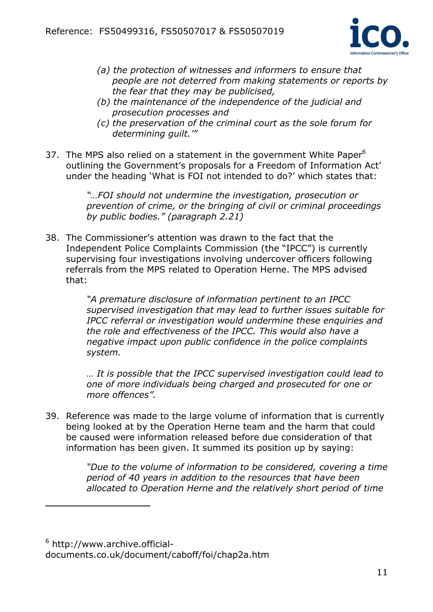

- *(a) the protection of witnesses and informers to ensure that people are not deterred from making statements or reports by the fear that they may be publicised,*
- *(b) the maintenance of the independence of the judicial and prosecution processes and*
- *(c) the preservation of the criminal court as the sole forum for determining guilt.'"*
- 37. The MPS also relied on a statement in the government White Paper $6$ outlining the Government's proposals for a Freedom of Information Act' under the heading 'What is FOI not intended to do?' which states that:

*"…FOI should not undermine the investigation, prosecution or prevention of crime, or the bringing of civil or criminal proceedings by public bodies." (paragraph 2.21)*

38. The Commissioner's attention was drawn to the fact that the Independent Police Complaints Commission (the "IPCC") is currently supervising four investigations involving undercover officers following referrals from the MPS related to Operation Herne. The MPS advised that:

> *"A premature disclosure of information pertinent to an IPCC supervised investigation that may lead to further issues suitable for IPCC referral or investigation would undermine these enquiries and the role and effectiveness of the IPCC. This would also have a negative impact upon public confidence in the police complaints system.*

> *… It is possible that the IPCC supervised investigation could lead to one of more individuals being charged and prosecuted for one or more offences".*

39. Reference was made to the large volume of information that is currently being looked at by the Operation Herne team and the harm that could be caused were information released before due consideration of that information has been given. It summed its position up by saying:

> *"Due to the volume of information to be considered, covering a time period of 40 years in addition to the resources that have been allocated to Operation Herne and the relatively short period of time*

 $\overline{a}$ 

<sup>&</sup>lt;sup>6</sup> http://www.archive.officialdocuments.co.uk/document/caboff/foi/chap2a.htm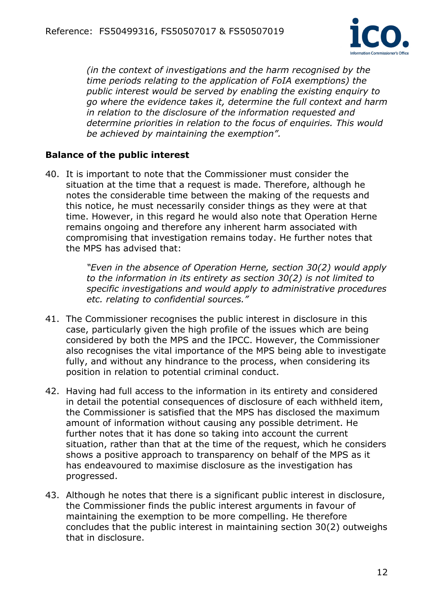

*(in the context of investigations and the harm recognised by the time periods relating to the application of FoIA exemptions) the public interest would be served by enabling the existing enquiry to go where the evidence takes it, determine the full context and harm in relation to the disclosure of the information requested and determine priorities in relation to the focus of enquiries. This would be achieved by maintaining the exemption".* 

#### **Balance of the public interest**

40. It is important to note that the Commissioner must consider the situation at the time that a request is made. Therefore, although he notes the considerable time between the making of the requests and this notice, he must necessarily consider things as they were at that time. However, in this regard he would also note that Operation Herne remains ongoing and therefore any inherent harm associated with compromising that investigation remains today. He further notes that the MPS has advised that:

> *"Even in the absence of Operation Herne, section 30(2) would apply to the information in its entirety as section 30(2) is not limited to specific investigations and would apply to administrative procedures etc. relating to confidential sources."*

- 41. The Commissioner recognises the public interest in disclosure in this case, particularly given the high profile of the issues which are being considered by both the MPS and the IPCC. However, the Commissioner also recognises the vital importance of the MPS being able to investigate fully, and without any hindrance to the process, when considering its position in relation to potential criminal conduct.
- 42. Having had full access to the information in its entirety and considered in detail the potential consequences of disclosure of each withheld item, the Commissioner is satisfied that the MPS has disclosed the maximum amount of information without causing any possible detriment. He further notes that it has done so taking into account the current situation, rather than that at the time of the request, which he considers shows a positive approach to transparency on behalf of the MPS as it has endeavoured to maximise disclosure as the investigation has progressed.
- 43. Although he notes that there is a significant public interest in disclosure, the Commissioner finds the public interest arguments in favour of maintaining the exemption to be more compelling. He therefore concludes that the public interest in maintaining section 30(2) outweighs that in disclosure.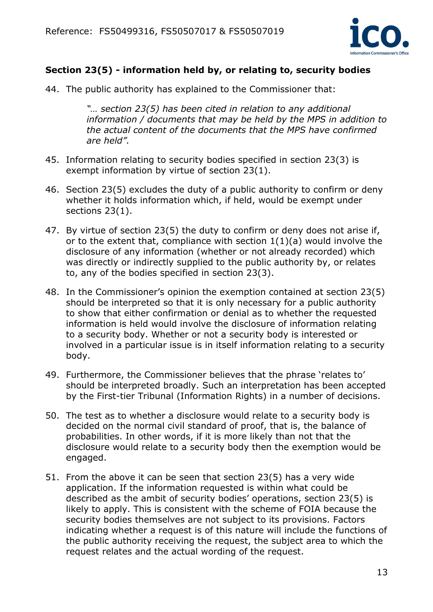

### **Section 23(5) - information held by, or relating to, security bodies**

44. The public authority has explained to the Commissioner that:

*"… section 23(5) has been cited in relation to any additional information / documents that may be held by the MPS in addition to the actual content of the documents that the MPS have confirmed are held".* 

- 45. Information relating to security bodies specified in section 23(3) is exempt information by virtue of section 23(1).
- 46. Section 23(5) excludes the duty of a public authority to confirm or deny whether it holds information which, if held, would be exempt under sections 23(1).
- 47. By virtue of section 23(5) the duty to confirm or deny does not arise if, or to the extent that, compliance with section  $1(1)(a)$  would involve the disclosure of any information (whether or not already recorded) which was directly or indirectly supplied to the public authority by, or relates to, any of the bodies specified in section 23(3).
- 48. In the Commissioner's opinion the exemption contained at section 23(5) should be interpreted so that it is only necessary for a public authority to show that either confirmation or denial as to whether the requested information is held would involve the disclosure of information relating to a security body. Whether or not a security body is interested or involved in a particular issue is in itself information relating to a security body.
- 49. Furthermore, the Commissioner believes that the phrase 'relates to' should be interpreted broadly. Such an interpretation has been accepted by the First-tier Tribunal (Information Rights) in a number of decisions.
- 50. The test as to whether a disclosure would relate to a security body is decided on the normal civil standard of proof, that is, the balance of probabilities. In other words, if it is more likely than not that the disclosure would relate to a security body then the exemption would be engaged.
- 51. From the above it can be seen that section 23(5) has a very wide application. If the information requested is within what could be described as the ambit of security bodies' operations, section 23(5) is likely to apply. This is consistent with the scheme of FOIA because the security bodies themselves are not subject to its provisions. Factors indicating whether a request is of this nature will include the functions of the public authority receiving the request, the subject area to which the request relates and the actual wording of the request.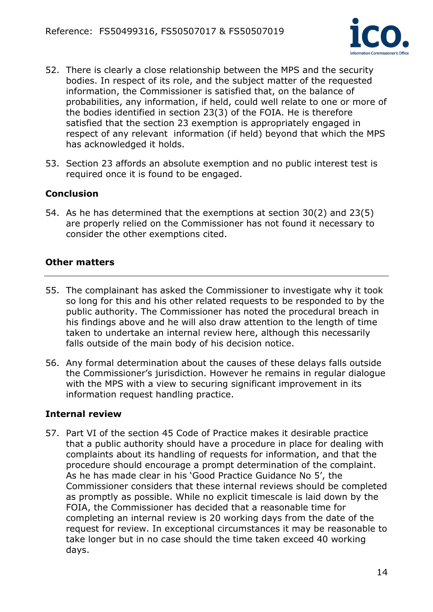

- 52. There is clearly a close relationship between the MPS and the security bodies. In respect of its role, and the subject matter of the requested information, the Commissioner is satisfied that, on the balance of probabilities, any information, if held, could well relate to one or more of the bodies identified in section 23(3) of the FOIA. He is therefore satisfied that the section 23 exemption is appropriately engaged in respect of any relevant information (if held) beyond that which the MPS has acknowledged it holds.
- 53. Section 23 affords an absolute exemption and no public interest test is required once it is found to be engaged.

### **Conclusion**

54. As he has determined that the exemptions at section 30(2) and 23(5) are properly relied on the Commissioner has not found it necessary to consider the other exemptions cited.

#### **Other matters**

- 55. The complainant has asked the Commissioner to investigate why it took so long for this and his other related requests to be responded to by the public authority. The Commissioner has noted the procedural breach in his findings above and he will also draw attention to the length of time taken to undertake an internal review here, although this necessarily falls outside of the main body of his decision notice.
- 56. Any formal determination about the causes of these delays falls outside the Commissioner's jurisdiction. However he remains in regular dialogue with the MPS with a view to securing significant improvement in its information request handling practice.

#### **Internal review**

57. Part VI of the section 45 Code of Practice makes it desirable practice that a public authority should have a procedure in place for dealing with complaints about its handling of requests for information, and that the procedure should encourage a prompt determination of the complaint. As he has made clear in his 'Good Practice Guidance No 5', the Commissioner considers that these internal reviews should be completed as promptly as possible. While no explicit timescale is laid down by the FOIA, the Commissioner has decided that a reasonable time for completing an internal review is 20 working days from the date of the request for review. In exceptional circumstances it may be reasonable to take longer but in no case should the time taken exceed 40 working days.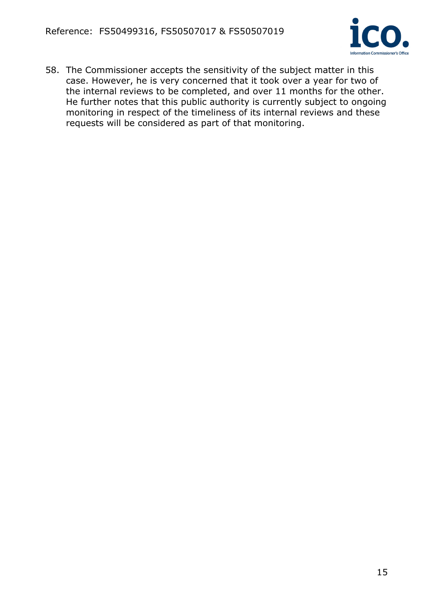

58. The Commissioner accepts the sensitivity of the subject matter in this case. However, he is very concerned that it took over a year for two of the internal reviews to be completed, and over 11 months for the other. He further notes that this public authority is currently subject to ongoing monitoring in respect of the timeliness of its internal reviews and these requests will be considered as part of that monitoring.